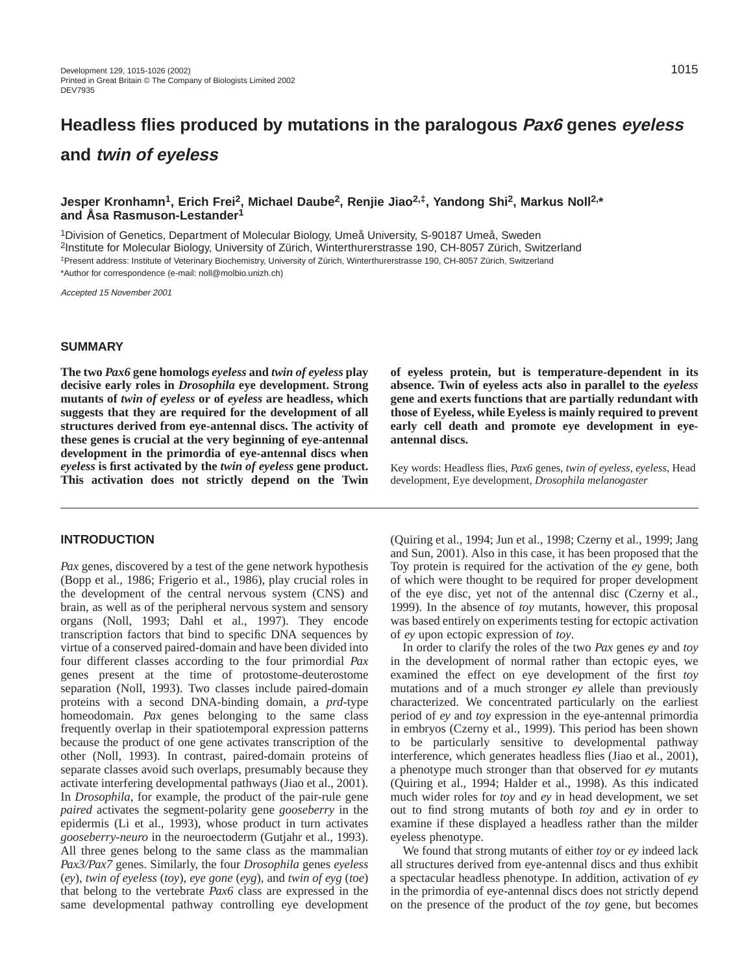# **Headless flies produced by mutations in the paralogous Pax6 genes eyeless and twin of eyeless**

# **Jesper Kronhamn1, Erich Frei2, Michael Daube2, Renjie Jiao2,‡, Yandong Shi2, Markus Noll2,\* and Åsa Rasmuson-Lestander1**

1Division of Genetics, Department of Molecular Biology, Umeå University, S-90187 Umeå, Sweden 2Institute for Molecular Biology, University of Zürich, Winterthurerstrasse 190, CH-8057 Zürich, Switzerland ‡Present address: Institute of Veterinary Biochemistry, University of Zürich, Winterthurerstrasse 190, CH-8057 Zürich, Switzerland \*Author for correspondence (e-mail: noll@molbio.unizh.ch)

Accepted 15 November 2001

#### **SUMMARY**

**The two** *Pax6* **gene homologs** *eyeless* **and** *twin of eyeless* **play decisive early roles in** *Drosophila* **eye development. Strong mutants of** *twin of eyeless* **or of** *eyeless* **are headless, which suggests that they are required for the development of all structures derived from eye-antennal discs. The activity of these genes is crucial at the very beginning of eye-antennal development in the primordia of eye-antennal discs when** *eyeless* **is first activated by the** *twin of eyeless* **gene product. This activation does not strictly depend on the Twin**

#### **INTRODUCTION**

*Pax* genes, discovered by a test of the gene network hypothesis (Bopp et al., 1986; Frigerio et al., 1986), play crucial roles in the development of the central nervous system (CNS) and brain, as well as of the peripheral nervous system and sensory organs (Noll, 1993; Dahl et al., 1997). They encode transcription factors that bind to specific DNA sequences by virtue of a conserved paired-domain and have been divided into four different classes according to the four primordial *Pax* genes present at the time of protostome-deuterostome separation (Noll, 1993). Two classes include paired-domain proteins with a second DNA-binding domain, a *prd*-type homeodomain. *Pax* genes belonging to the same class frequently overlap in their spatiotemporal expression patterns because the product of one gene activates transcription of the other (Noll, 1993). In contrast, paired-domain proteins of separate classes avoid such overlaps, presumably because they activate interfering developmental pathways (Jiao et al., 2001). In *Drosophila*, for example, the product of the pair-rule gene *paired* activates the segment-polarity gene *gooseberry* in the epidermis (Li et al., 1993), whose product in turn activates *gooseberry-neuro* in the neuroectoderm (Gutjahr et al., 1993). All three genes belong to the same class as the mammalian *Pax3/Pax7* genes. Similarly, the four *Drosophila* genes *eyeless* (*ey*), *twin of eyeless* (*toy*), *eye gone* (*eyg*), and *twin of eyg* (*toe*) that belong to the vertebrate *Pax6* class are expressed in the same developmental pathway controlling eye development **of eyeless protein, but is temperature-dependent in its absence. Twin of eyeless acts also in parallel to the** *eyeless* **gene and exerts functions that are partially redundant with those of Eyeless, while Eyeless is mainly required to prevent early cell death and promote eye development in eyeantennal discs.**

Key words: Headless flies, *Pax6* genes, *twin of eyeless*, *eyeless*, Head development, Eye development, *Drosophila melanogaster*

(Quiring et al., 1994; Jun et al., 1998; Czerny et al., 1999; Jang and Sun, 2001). Also in this case, it has been proposed that the Toy protein is required for the activation of the *ey* gene, both of which were thought to be required for proper development of the eye disc, yet not of the antennal disc (Czerny et al., 1999). In the absence of *toy* mutants, however, this proposal was based entirely on experiments testing for ectopic activation of *ey* upon ectopic expression of *toy*.

In order to clarify the roles of the two *Pax* genes *ey* and *toy* in the development of normal rather than ectopic eyes, we examined the effect on eye development of the first *toy* mutations and of a much stronger *ey* allele than previously characterized. We concentrated particularly on the earliest period of *ey* and *toy* expression in the eye-antennal primordia in embryos (Czerny et al., 1999). This period has been shown to be particularly sensitive to developmental pathway interference, which generates headless flies (Jiao et al., 2001), a phenotype much stronger than that observed for *ey* mutants (Quiring et al., 1994; Halder et al., 1998). As this indicated much wider roles for *toy* and *ey* in head development, we set out to find strong mutants of both *toy* and *ey* in order to examine if these displayed a headless rather than the milder eyeless phenotype.

We found that strong mutants of either *toy* or *ey* indeed lack all structures derived from eye-antennal discs and thus exhibit a spectacular headless phenotype. In addition, activation of *ey* in the primordia of eye-antennal discs does not strictly depend on the presence of the product of the *toy* gene, but becomes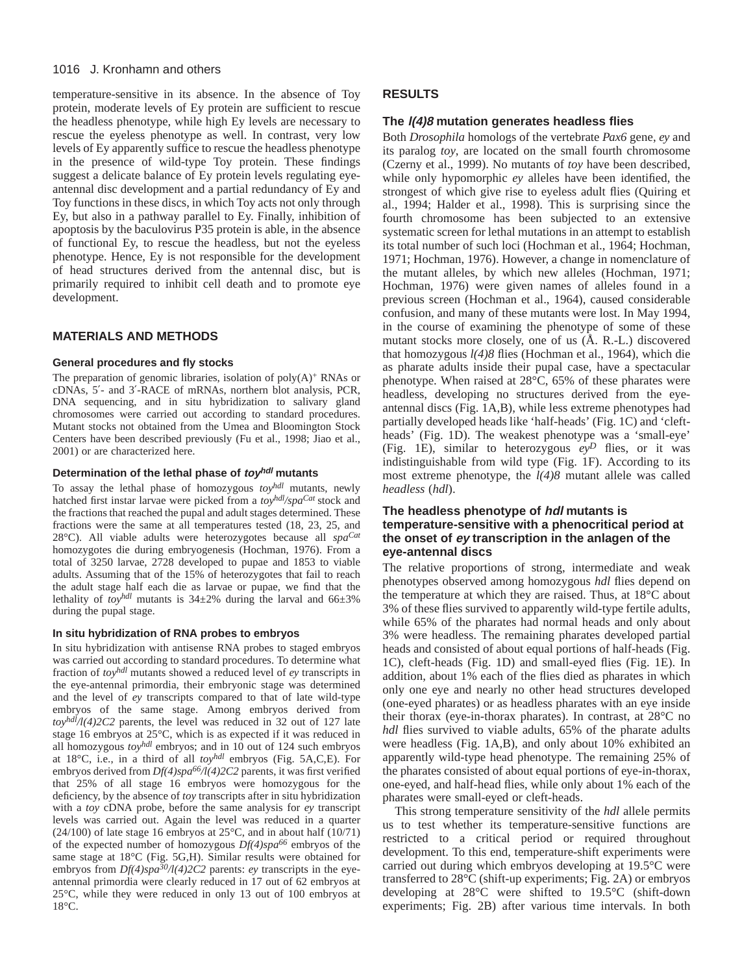temperature-sensitive in its absence. In the absence of Toy protein, moderate levels of Ey protein are sufficient to rescue the headless phenotype, while high Ey levels are necessary to rescue the eyeless phenotype as well. In contrast, very low levels of Ey apparently suffice to rescue the headless phenotype in the presence of wild-type Toy protein. These findings suggest a delicate balance of Ey protein levels regulating eyeantennal disc development and a partial redundancy of Ey and Toy functions in these discs, in which Toy acts not only through Ey, but also in a pathway parallel to Ey. Finally, inhibition of apoptosis by the baculovirus P35 protein is able, in the absence of functional Ey, to rescue the headless, but not the eyeless phenotype. Hence, Ey is not responsible for the development of head structures derived from the antennal disc, but is primarily required to inhibit cell death and to promote eye development.

## **MATERIALS AND METHODS**

#### **General procedures and fly stocks**

The preparation of genomic libraries, isolation of  $poly(A)^+$  RNAs or cDNAs, 5′- and 3′-RACE of mRNAs, northern blot analysis, PCR, DNA sequencing, and in situ hybridization to salivary gland chromosomes were carried out according to standard procedures. Mutant stocks not obtained from the Umea and Bloomington Stock Centers have been described previously (Fu et al., 1998; Jiao et al., 2001) or are characterized here.

#### **Determination of the lethal phase of toyhdl mutants**

To assay the lethal phase of homozygous *toyhdl* mutants, newly hatched first instar larvae were picked from a *toyhdl/spaCat* stock and the fractions that reached the pupal and adult stages determined. These fractions were the same at all temperatures tested (18, 23, 25, and 28°C). All viable adults were heterozygotes because all *spaCat* homozygotes die during embryogenesis (Hochman, 1976). From a total of 3250 larvae, 2728 developed to pupae and 1853 to viable adults. Assuming that of the 15% of heterozygotes that fail to reach the adult stage half each die as larvae or pupae, we find that the lethality of *toyhdl* mutants is  $34\pm2\%$  during the larval and  $66\pm3\%$ during the pupal stage.

#### **In situ hybridization of RNA probes to embryos**

In situ hybridization with antisense RNA probes to staged embryos was carried out according to standard procedures. To determine what fraction of *toyhdl* mutants showed a reduced level of *ey* transcripts in the eye-antennal primordia, their embryonic stage was determined and the level of *ey* transcripts compared to that of late wild-type embryos of the same stage. Among embryos derived from *toyhdl/l(4)2C2* parents, the level was reduced in 32 out of 127 late stage 16 embryos at 25°C, which is as expected if it was reduced in all homozygous *toyhdl* embryos; and in 10 out of 124 such embryos at 18°C, i.e., in a third of all *toyhdl* embryos (Fig. 5A,C,E). For embryos derived from *Df(4)spa66/l(4)2C2* parents, it was first verified that 25% of all stage 16 embryos were homozygous for the deficiency, by the absence of *toy* transcripts after in situ hybridization with a *toy* cDNA probe, before the same analysis for *ey* transcript levels was carried out. Again the level was reduced in a quarter (24/100) of late stage 16 embryos at 25°C, and in about half (10/71) of the expected number of homozygous *Df(4)spa<sup>66</sup>* embryos of the same stage at 18°C (Fig. 5G,H). Similar results were obtained for embryos from *Df(4)spa30/l(4)2C2* parents: *ey* transcripts in the eyeantennal primordia were clearly reduced in 17 out of 62 embryos at 25°C, while they were reduced in only 13 out of 100 embryos at 18°C.

# **RESULTS**

# **The l(4)8 mutation generates headless flies**

Both *Drosophila* homologs of the vertebrate *Pax6* gene, *ey* and its paralog *toy*, are located on the small fourth chromosome (Czerny et al., 1999). No mutants of *toy* have been described, while only hypomorphic *ey* alleles have been identified, the strongest of which give rise to eyeless adult flies (Quiring et al., 1994; Halder et al., 1998). This is surprising since the fourth chromosome has been subjected to an extensive systematic screen for lethal mutations in an attempt to establish its total number of such loci (Hochman et al., 1964; Hochman, 1971; Hochman, 1976). However, a change in nomenclature of the mutant alleles, by which new alleles (Hochman, 1971; Hochman, 1976) were given names of alleles found in a previous screen (Hochman et al., 1964), caused considerable confusion, and many of these mutants were lost. In May 1994, in the course of examining the phenotype of some of these mutant stocks more closely, one of us (Å. R.-L.) discovered that homozygous *l(4)8* flies (Hochman et al., 1964), which die as pharate adults inside their pupal case, have a spectacular phenotype. When raised at 28°C, 65% of these pharates were headless, developing no structures derived from the eyeantennal discs (Fig. 1A,B), while less extreme phenotypes had partially developed heads like 'half-heads' (Fig. 1C) and 'cleftheads' (Fig. 1D). The weakest phenotype was a 'small-eye' (Fig. 1E), similar to heterozygous  $ey^D$  flies, or it was indistinguishable from wild type (Fig. 1F). According to its most extreme phenotype, the *l(4)8* mutant allele was called *headless* (*hdl*).

# **The headless phenotype of hdl mutants is temperature-sensitive with a phenocritical period at the onset of ey transcription in the anlagen of the eye-antennal discs**

The relative proportions of strong, intermediate and weak phenotypes observed among homozygous *hdl* flies depend on the temperature at which they are raised. Thus, at 18°C about 3% of these flies survived to apparently wild-type fertile adults, while 65% of the pharates had normal heads and only about 3% were headless. The remaining pharates developed partial heads and consisted of about equal portions of half-heads (Fig. 1C), cleft-heads (Fig. 1D) and small-eyed flies (Fig. 1E). In addition, about 1% each of the flies died as pharates in which only one eye and nearly no other head structures developed (one-eyed pharates) or as headless pharates with an eye inside their thorax (eye-in-thorax pharates). In contrast, at 28°C no *hdl* flies survived to viable adults, 65% of the pharate adults were headless (Fig. 1A,B), and only about 10% exhibited an apparently wild-type head phenotype. The remaining 25% of the pharates consisted of about equal portions of eye-in-thorax, one-eyed, and half-head flies, while only about 1% each of the pharates were small-eyed or cleft-heads.

This strong temperature sensitivity of the *hdl* allele permits us to test whether its temperature-sensitive functions are restricted to a critical period or required throughout development. To this end, temperature-shift experiments were carried out during which embryos developing at 19.5°C were transferred to 28°C (shift-up experiments; Fig. 2A) or embryos developing at 28°C were shifted to 19.5°C (shift-down experiments; Fig. 2B) after various time intervals. In both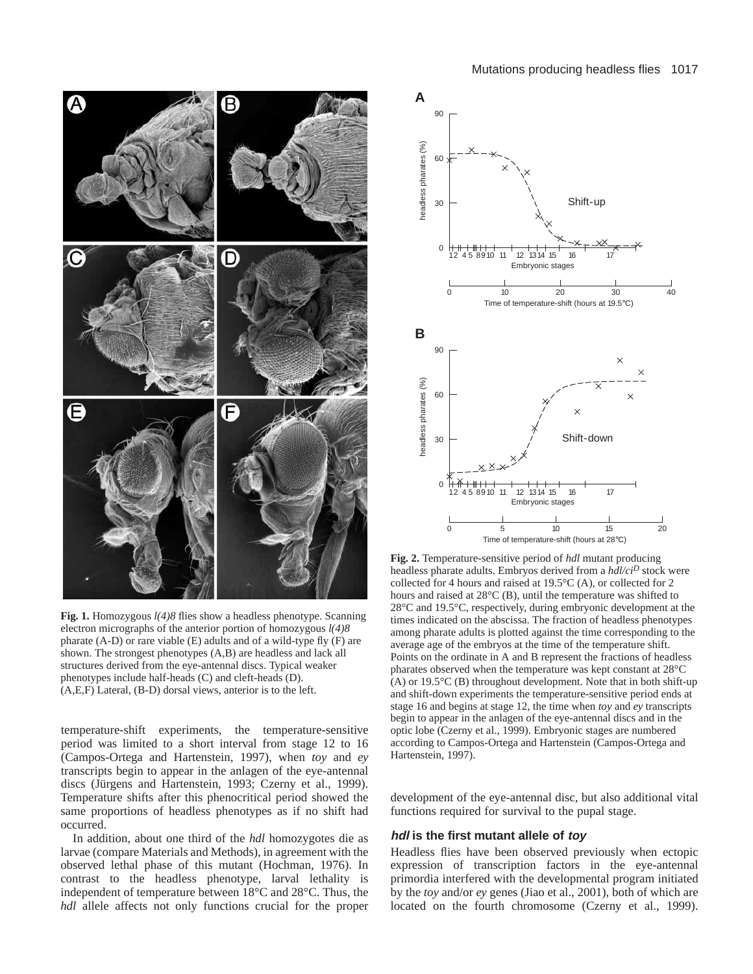

**Fig. 1.** Homozygous *l(4)8* flies show a headless phenotype. Scanning electron micrographs of the anterior portion of homozygous *l(4)8* pharate (A-D) or rare viable (E) adults and of a wild-type fly (F) are shown. The strongest phenotypes (A,B) are headless and lack all structures derived from the eye-antennal discs. Typical weaker phenotypes include half-heads (C) and cleft-heads (D). (A,E,F) Lateral, (B-D) dorsal views, anterior is to the left.

temperature-shift experiments, the temperature-sensitive period was limited to a short interval from stage 12 to 16 (Campos-Ortega and Hartenstein, 1997), when *toy* and *ey* transcripts begin to appear in the anlagen of the eye-antennal discs (Jürgens and Hartenstein, 1993; Czerny et al., 1999). Temperature shifts after this phenocritical period showed the same proportions of headless phenotypes as if no shift had occurred.

In addition, about one third of the *hdl* homozygotes die as larvae (compare Materials and Methods), in agreement with the observed lethal phase of this mutant (Hochman, 1976). In contrast to the headless phenotype, larval lethality is independent of temperature between 18°C and 28°C. Thus, the *hdl* allele affects not only functions crucial for the proper



**Fig. 2.** Temperature-sensitive period of *hdl* mutant producing headless pharate adults. Embryos derived from a *hdl/ciD* stock were collected for 4 hours and raised at 19.5°C (A), or collected for 2 hours and raised at 28°C (B), until the temperature was shifted to 28°C and 19.5°C, respectively, during embryonic development at the times indicated on the abscissa. The fraction of headless phenotypes among pharate adults is plotted against the time corresponding to the average age of the embryos at the time of the temperature shift. Points on the ordinate in A and B represent the fractions of headless pharates observed when the temperature was kept constant at 28°C (A) or 19.5°C (B) throughout development. Note that in both shift-up and shift-down experiments the temperature-sensitive period ends at stage 16 and begins at stage 12, the time when *toy* and *ey* transcripts begin to appear in the anlagen of the eye-antennal discs and in the optic lobe (Czerny et al., 1999). Embryonic stages are numbered according to Campos-Ortega and Hartenstein (Campos-Ortega and Hartenstein, 1997).

development of the eye-antennal disc, but also additional vital functions required for survival to the pupal stage.

# **hdl is the first mutant allele of toy**

Headless flies have been observed previously when ectopic expression of transcription factors in the eye-antennal primordia interfered with the developmental program initiated by the *toy* and/or *ey* genes (Jiao et al., 2001), both of which are located on the fourth chromosome (Czerny et al., 1999).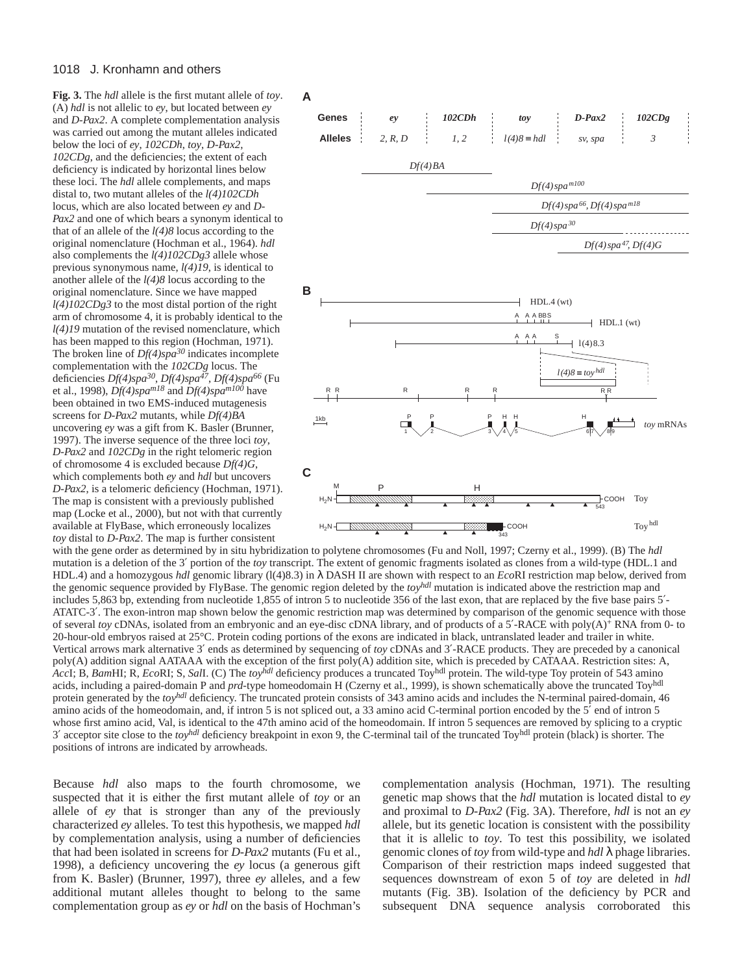**Fig. 3.** The *hdl* allele is the first mutant allele of *toy*. (A) *hdl* is not allelic to *ey*, but located between *ey* and *D-Pax2*. A complete complementation analysis was carried out among the mutant alleles indicated below the loci of *ey*, *102CDh*, *toy*, *D-Pax2*, *102CDg*, and the deficiencies; the extent of each deficiency is indicated by horizontal lines below these loci. The *hdl* allele complements, and maps distal to, two mutant alleles of the *l(4)102CDh* locus, which are also located between *ey* and *D-Pax2* and one of which bears a synonym identical to that of an allele of the  $l(4)8$  locus according to the original nomenclature (Hochman et al., 1964). *hdl* also complements the *l(4)102CDg3* allele whose previous synonymous name, *l(4)19*, is identical to another allele of the *l(4)8* locus according to the original nomenclature. Since we have mapped *l(4)102CDg3* to the most distal portion of the right arm of chromosome 4, it is probably identical to the *l(4)19* mutation of the revised nomenclature, which has been mapped to this region (Hochman, 1971). The broken line of *Df(4)spa30* indicates incomplete complementation with the *102CDg* locus. The deficiencies *Df(4)spa30*, *Df(4)spa47*, *Df(4)spa66* (Fu et al., 1998), *Df(4)spam18* and *Df(4)spam100* have been obtained in two EMS-induced mutagenesis screens for *D-Pax2* mutants, while *Df(4)BA* uncovering *ey* was a gift from K. Basler (Brunner, 1997). The inverse sequence of the three loci *toy*, *D-Pax2* and *102CDg* in the right telomeric region of chromosome 4 is excluded because *Df(4)G*, which complements both *ey* and *hdl* but uncovers *D-Pax2*, is a telomeric deficiency (Hochman, 1971). The map is consistent with a previously published map (Locke et al., 2000), but not with that currently available at FlyBase, which erroneously localizes *toy* distal to *D-Pax2*. The map is further consistent



with the gene order as determined by in situ hybridization to polytene chromosomes (Fu and Noll, 1997; Czerny et al., 1999). (B) The *hdl* mutation is a deletion of the 3′ portion of the *toy* transcript. The extent of genomic fragments isolated as clones from a wild-type (HDL.1 and HDL.4) and a homozygous *hdl* genomic library (l(4)8.3) in λ DASH II are shown with respect to an *Eco*RI restriction map below, derived from the genomic sequence provided by FlyBase. The genomic region deleted by the  $\ell$ oy<sup>*hdl*</sup> mutation is indicated above the restriction map and includes 5,863 bp, extending from nucleotide 1,855 of intron 5 to nucleotide 356 of the last exon, that are replaced by the five base pairs 5′- ATATC-3′. The exon-intron map shown below the genomic restriction map was determined by comparison of the genomic sequence with those of several *toy* cDNAs, isolated from an embryonic and an eye-disc cDNA library, and of products of a 5′-RACE with poly(A)<sup>+</sup> RNA from 0- to 20-hour-old embryos raised at 25°C. Protein coding portions of the exons are indicated in black, untranslated leader and trailer in white. Vertical arrows mark alternative 3′ ends as determined by sequencing of *toy* cDNAs and 3′-RACE products. They are preceded by a canonical poly(A) addition signal AATAAA with the exception of the first poly(A) addition site, which is preceded by CATAAA. Restriction sites: A, *Acc*I; B, *Bam*HI; R, *Eco*RI; S, *Sal*I. (C) The *toyhdl* deficiency produces a truncated Toyhdl protein. The wild-type Toy protein of 543 amino acids, including a paired-domain P and *prd*-type homeodomain H (Czerny et al., 1999), is shown schematically above the truncated Toyh<sup>dl</sup> protein generated by the *toyhdl* deficiency. The truncated protein consists of 343 amino acids and includes the N-terminal paired-domain, 46 amino acids of the homeodomain, and, if intron 5 is not spliced out, a 33 amino acid C-terminal portion encoded by the 5′ end of intron 5 whose first amino acid, Val, is identical to the 47th amino acid of the homeodomain. If intron 5 sequences are removed by splicing to a cryptic 3' acceptor site close to the *toyhdl* deficiency breakpoint in exon 9, the C-terminal tail of the truncated Toyh<sup>dl</sup> protein (black) is shorter. The positions of introns are indicated by arrowheads.

Because *hdl* also maps to the fourth chromosome, we suspected that it is either the first mutant allele of *toy* or an allele of *ey* that is stronger than any of the previously characterized *ey* alleles. To test this hypothesis, we mapped *hdl* by complementation analysis, using a number of deficiencies that had been isolated in screens for *D-Pax2* mutants (Fu et al., 1998), a deficiency uncovering the *ey* locus (a generous gift from K. Basler) (Brunner, 1997), three *ey* alleles, and a few additional mutant alleles thought to belong to the same complementation group as *ey* or *hdl* on the basis of Hochman's

complementation analysis (Hochman, 1971). The resulting genetic map shows that the *hdl* mutation is located distal to *ey* and proximal to *D-Pax2* (Fig. 3A). Therefore, *hdl* is not an *ey* allele, but its genetic location is consistent with the possibility that it is allelic to *toy*. To test this possibility, we isolated genomic clones of *toy* from wild-type and *hdl* λ phage libraries. Comparison of their restriction maps indeed suggested that sequences downstream of exon 5 of *toy* are deleted in *hdl* mutants (Fig. 3B). Isolation of the deficiency by PCR and subsequent DNA sequence analysis corroborated this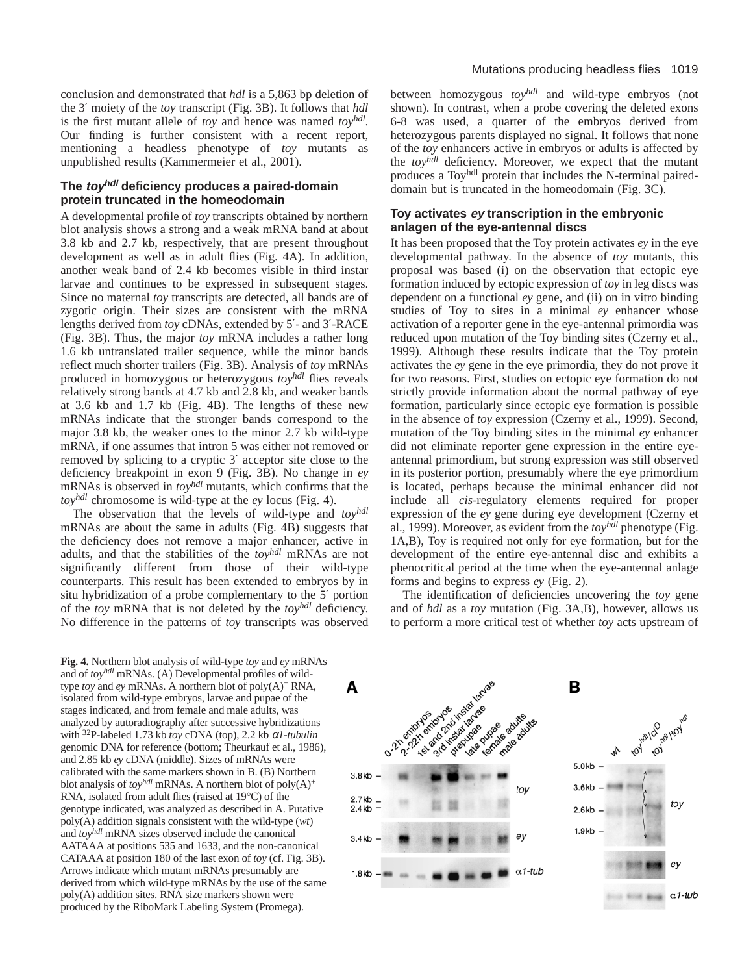conclusion and demonstrated that *hdl* is a 5,863 bp deletion of the 3′ moiety of the *toy* transcript (Fig. 3B). It follows that *hdl* is the first mutant allele of *toy* and hence was named *toyhdl*. Our finding is further consistent with a recent report, mentioning a headless phenotype of *toy* mutants as unpublished results (Kammermeier et al., 2001).

# **The toyhdl deficiency produces a paired-domain protein truncated in the homeodomain**

A developmental profile of *toy* transcripts obtained by northern blot analysis shows a strong and a weak mRNA band at about 3.8 kb and 2.7 kb, respectively, that are present throughout development as well as in adult flies (Fig. 4A). In addition, another weak band of 2.4 kb becomes visible in third instar larvae and continues to be expressed in subsequent stages. Since no maternal *toy* transcripts are detected, all bands are of zygotic origin. Their sizes are consistent with the mRNA lengths derived from *toy* cDNAs, extended by 5′- and 3′-RACE (Fig. 3B). Thus, the major *toy* mRNA includes a rather long 1.6 kb untranslated trailer sequence, while the minor bands reflect much shorter trailers (Fig. 3B). Analysis of *toy* mRNAs produced in homozygous or heterozygous *toyhdl* flies reveals relatively strong bands at 4.7 kb and 2.8 kb, and weaker bands at 3.6 kb and 1.7 kb (Fig. 4B). The lengths of these new mRNAs indicate that the stronger bands correspond to the major 3.8 kb, the weaker ones to the minor 2.7 kb wild-type mRNA, if one assumes that intron 5 was either not removed or removed by splicing to a cryptic 3′ acceptor site close to the deficiency breakpoint in exon 9 (Fig. 3B). No change in *ey* mRNAs is observed in *toyhdl* mutants, which confirms that the *toyhdl* chromosome is wild-type at the *ey* locus (Fig. 4).

The observation that the levels of wild-type and *toyhdl* mRNAs are about the same in adults (Fig. 4B) suggests that the deficiency does not remove a major enhancer, active in adults, and that the stabilities of the *toyhdl* mRNAs are not significantly different from those of their wild-type counterparts. This result has been extended to embryos by in situ hybridization of a probe complementary to the 5′ portion of the *toy* mRNA that is not deleted by the *toyhdl* deficiency. No difference in the patterns of *toy* transcripts was observed

**Fig. 4.** Northern blot analysis of wild-type *toy* and *ey* mRNAs and of *toyhdl* mRNAs. (A) Developmental profiles of wildtype *toy* and *ey* mRNAs. A northern blot of poly(A)+ RNA, isolated from wild-type embryos, larvae and pupae of the stages indicated, and from female and male adults, was analyzed by autoradiography after successive hybridizations with 32P-labeled 1.73 kb *toy* cDNA (top), 2.2 kb α*1-tubulin* genomic DNA for reference (bottom; Theurkauf et al., 1986), and 2.85 kb *ey* cDNA (middle). Sizes of mRNAs were calibrated with the same markers shown in B. (B) Northern blot analysis of *toy<sup>hdl</sup>* mRNAs. A northern blot of poly(A)<sup>+</sup> RNA, isolated from adult flies (raised at 19°C) of the genotype indicated, was analyzed as described in A. Putative poly(A) addition signals consistent with the wild-type (*wt*) and *toyhdl* mRNA sizes observed include the canonical AATAAA at positions 535 and 1633, and the non-canonical CATAAA at position 180 of the last exon of *toy* (cf. Fig. 3B). Arrows indicate which mutant mRNAs presumably are derived from which wild-type mRNAs by the use of the same poly(A) addition sites. RNA size markers shown were produced by the RiboMark Labeling System (Promega).

between homozygous *toyhdl* and wild-type embryos (not shown). In contrast, when a probe covering the deleted exons 6-8 was used, a quarter of the embryos derived from heterozygous parents displayed no signal. It follows that none of the *toy* enhancers active in embryos or adults is affected by the *toyhdl* deficiency. Moreover, we expect that the mutant produces a Toyhdl protein that includes the N-terminal paireddomain but is truncated in the homeodomain (Fig. 3C).

# **Toy activates ey transcription in the embryonic anlagen of the eye-antennal discs**

It has been proposed that the Toy protein activates *ey* in the eye developmental pathway. In the absence of *toy* mutants, this proposal was based (i) on the observation that ectopic eye formation induced by ectopic expression of *toy* in leg discs was dependent on a functional *ey* gene, and (ii) on in vitro binding studies of Toy to sites in a minimal *ey* enhancer whose activation of a reporter gene in the eye-antennal primordia was reduced upon mutation of the Toy binding sites (Czerny et al., 1999). Although these results indicate that the Toy protein activates the *ey* gene in the eye primordia, they do not prove it for two reasons. First, studies on ectopic eye formation do not strictly provide information about the normal pathway of eye formation, particularly since ectopic eye formation is possible in the absence of *toy* expression (Czerny et al., 1999). Second, mutation of the Toy binding sites in the minimal *ey* enhancer did not eliminate reporter gene expression in the entire eyeantennal primordium, but strong expression was still observed in its posterior portion, presumably where the eye primordium is located, perhaps because the minimal enhancer did not include all *cis*-regulatory elements required for proper expression of the *ey* gene during eye development (Czerny et al., 1999). Moreover, as evident from the *toyhdl* phenotype (Fig. 1A,B), Toy is required not only for eye formation, but for the development of the entire eye-antennal disc and exhibits a phenocritical period at the time when the eye-antennal anlage forms and begins to express *ey* (Fig. 2).

The identification of deficiencies uncovering the *toy* gene and of *hdl* as a *toy* mutation (Fig. 3A,B), however, allows us to perform a more critical test of whether *toy* acts upstream of

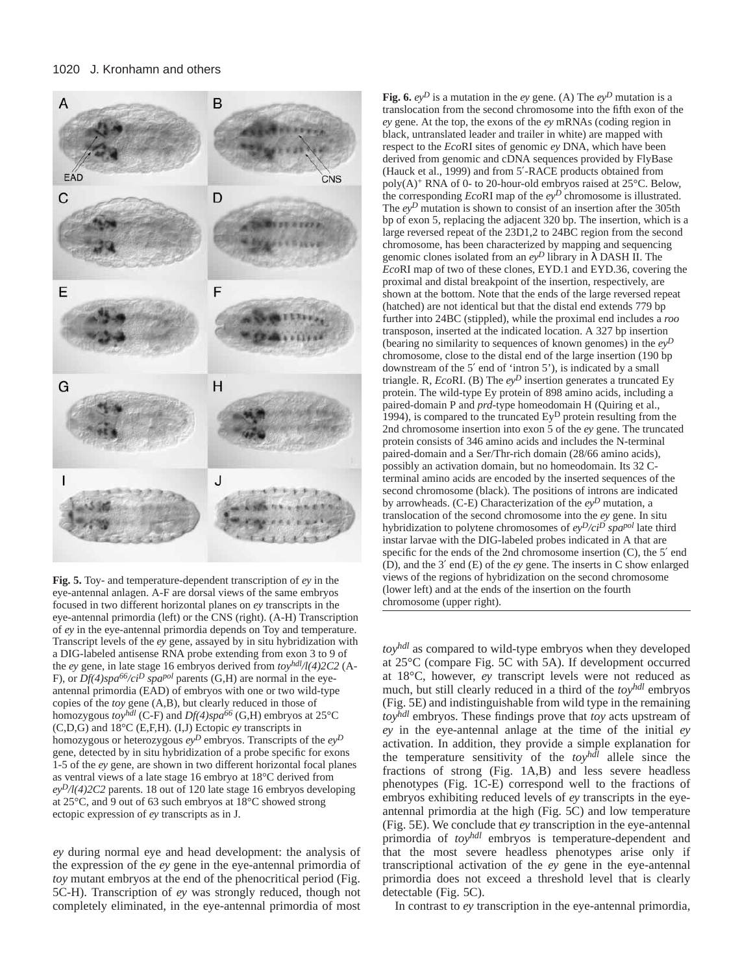

**Fig. 5.** Toy- and temperature-dependent transcription of *ey* in the eye-antennal anlagen. A-F are dorsal views of the same embryos focused in two different horizontal planes on *ey* transcripts in the eye-antennal primordia (left) or the CNS (right). (A-H) Transcription of *ey* in the eye-antennal primordia depends on Toy and temperature. Transcript levels of the *ey* gene, assayed by in situ hybridization with a DIG-labeled antisense RNA probe extending from exon 3 to 9 of the *ey* gene, in late stage 16 embryos derived from *toyhdl/l(4)2C2* (A-F), or  $Df(4)spa^{66}/ci^D$  spa<sup>pol</sup> parents (G,H) are normal in the eyeantennal primordia (EAD) of embryos with one or two wild-type copies of the *toy* gene (A,B), but clearly reduced in those of homozygous *toyhdl* (C-F) and *Df(4)spa66* (G,H) embryos at 25°C (C,D,G) and 18°C (E,F,H). (I,J) Ectopic *ey* transcripts in homozygous or heterozygous *eyD* embryos. Transcripts of the *eyD* gene, detected by in situ hybridization of a probe specific for exons 1-5 of the *ey* gene, are shown in two different horizontal focal planes as ventral views of a late stage 16 embryo at 18°C derived from  $e^{i\phi}$ /l(4)2C2 parents. 18 out of 120 late stage 16 embryos developing at 25°C, and 9 out of 63 such embryos at 18°C showed strong ectopic expression of *ey* transcripts as in J.

*ey* during normal eye and head development: the analysis of the expression of the *ey* gene in the eye-antennal primordia of *toy* mutant embryos at the end of the phenocritical period (Fig. 5C-H). Transcription of *ey* was strongly reduced, though not completely eliminated, in the eye-antennal primordia of most

**Fig. 6.**  $e^{\gamma D}$  is a mutation in the *ey* gene. (A) The  $e^{\gamma D}$  mutation is a translocation from the second chromosome into the fifth exon of the *ey* gene. At the top, the exons of the *ey* mRNAs (coding region in black, untranslated leader and trailer in white) are mapped with respect to the *Eco*RI sites of genomic *ey* DNA, which have been derived from genomic and cDNA sequences provided by FlyBase (Hauck et al., 1999) and from 5′-RACE products obtained from poly(A)+ RNA of 0- to 20-hour-old embryos raised at 25°C. Below, the corresponding *Eco*RI map of the *eyD* chromosome is illustrated. The  $e_y$ <sup>D</sup> mutation is shown to consist of an insertion after the 305th bp of exon 5, replacing the adjacent 320 bp. The insertion, which is a large reversed repeat of the 23D1,2 to 24BC region from the second chromosome, has been characterized by mapping and sequencing genomic clones isolated from an *eyD* library in λ DASH II. The *Eco*RI map of two of these clones, EYD.1 and EYD.36, covering the proximal and distal breakpoint of the insertion, respectively, are shown at the bottom. Note that the ends of the large reversed repeat (hatched) are not identical but that the distal end extends 779 bp further into 24BC (stippled), while the proximal end includes a *roo* transposon, inserted at the indicated location. A 327 bp insertion (bearing no similarity to sequences of known genomes) in the *eyD* chromosome, close to the distal end of the large insertion (190 bp downstream of the 5′ end of 'intron 5'), is indicated by a small triangle. R, *Eco*RI. (B) The *eyD* insertion generates a truncated Ey protein. The wild-type Ey protein of 898 amino acids, including a paired-domain P and *prd*-type homeodomain H (Quiring et al., 1994), is compared to the truncated Ey<sup>D</sup> protein resulting from the 2nd chromosome insertion into exon 5 of the *ey* gene. The truncated protein consists of 346 amino acids and includes the N-terminal paired-domain and a Ser/Thr-rich domain (28/66 amino acids), possibly an activation domain, but no homeodomain. Its 32 Cterminal amino acids are encoded by the inserted sequences of the second chromosome (black). The positions of introns are indicated by arrowheads. (C-E) Characterization of the *eyD* mutation, a translocation of the second chromosome into the *ey* gene. In situ hybridization to polytene chromosomes of *eyD/ciD spapol* late third instar larvae with the DIG-labeled probes indicated in A that are specific for the ends of the 2nd chromosome insertion (C), the 5' end (D), and the 3′ end (E) of the *ey* gene. The inserts in C show enlarged views of the regions of hybridization on the second chromosome (lower left) and at the ends of the insertion on the fourth chromosome (upper right).

*toyhdl* as compared to wild-type embryos when they developed at 25°C (compare Fig. 5C with 5A). If development occurred at 18°C, however, *ey* transcript levels were not reduced as much, but still clearly reduced in a third of the *toyhdl* embryos (Fig. 5E) and indistinguishable from wild type in the remaining *toyhdl* embryos. These findings prove that *toy* acts upstream of *ey* in the eye-antennal anlage at the time of the initial *ey* activation. In addition, they provide a simple explanation for the temperature sensitivity of the *toyhdl* allele since the fractions of strong (Fig. 1A,B) and less severe headless phenotypes (Fig. 1C-E) correspond well to the fractions of embryos exhibiting reduced levels of *ey* transcripts in the eyeantennal primordia at the high (Fig. 5C) and low temperature (Fig. 5E). We conclude that *ey* transcription in the eye-antennal primordia of *toyhdl* embryos is temperature-dependent and that the most severe headless phenotypes arise only if transcriptional activation of the *ey* gene in the eye-antennal primordia does not exceed a threshold level that is clearly detectable (Fig. 5C).

In contrast to *ey* transcription in the eye-antennal primordia,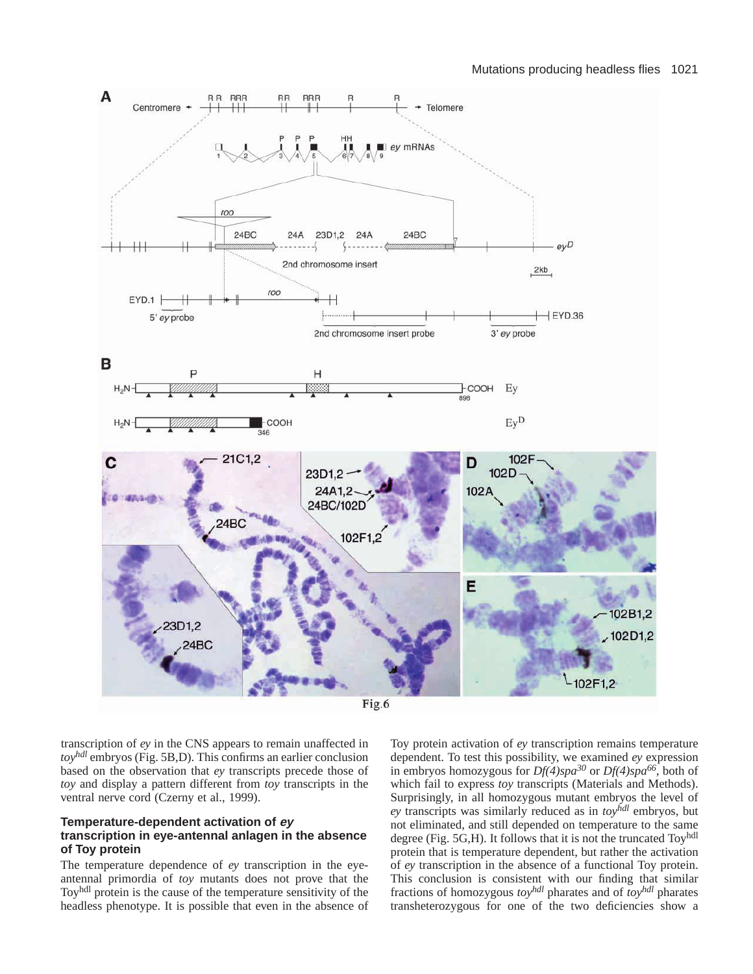

transcription of *ey* in the CNS appears to remain unaffected in *toyhdl* embryos (Fig. 5B,D). This confirms an earlier conclusion based on the observation that *ey* transcripts precede those of *toy* and display a pattern different from *toy* transcripts in the ventral nerve cord (Czerny et al., 1999).

#### **Temperature-dependent activation of ey transcription in eye-antennal anlagen in the absence of Toy protein**

The temperature dependence of *ey* transcription in the eyeantennal primordia of *toy* mutants does not prove that the Toyhdl protein is the cause of the temperature sensitivity of the headless phenotype. It is possible that even in the absence of Toy protein activation of *ey* transcription remains temperature dependent. To test this possibility, we examined *ey* expression in embryos homozygous for *Df(4)spa30* or *Df(4)spa66*, both of which fail to express *toy* transcripts (Materials and Methods). Surprisingly, in all homozygous mutant embryos the level of *ey* transcripts was similarly reduced as in *toyhdl* embryos, but not eliminated, and still depended on temperature to the same degree (Fig. 5G,H). It follows that it is not the truncated Toyhdl protein that is temperature dependent, but rather the activation of *ey* transcription in the absence of a functional Toy protein. This conclusion is consistent with our finding that similar fractions of homozygous *toyhdl* pharates and of *toyhdl* pharates transheterozygous for one of the two deficiencies show a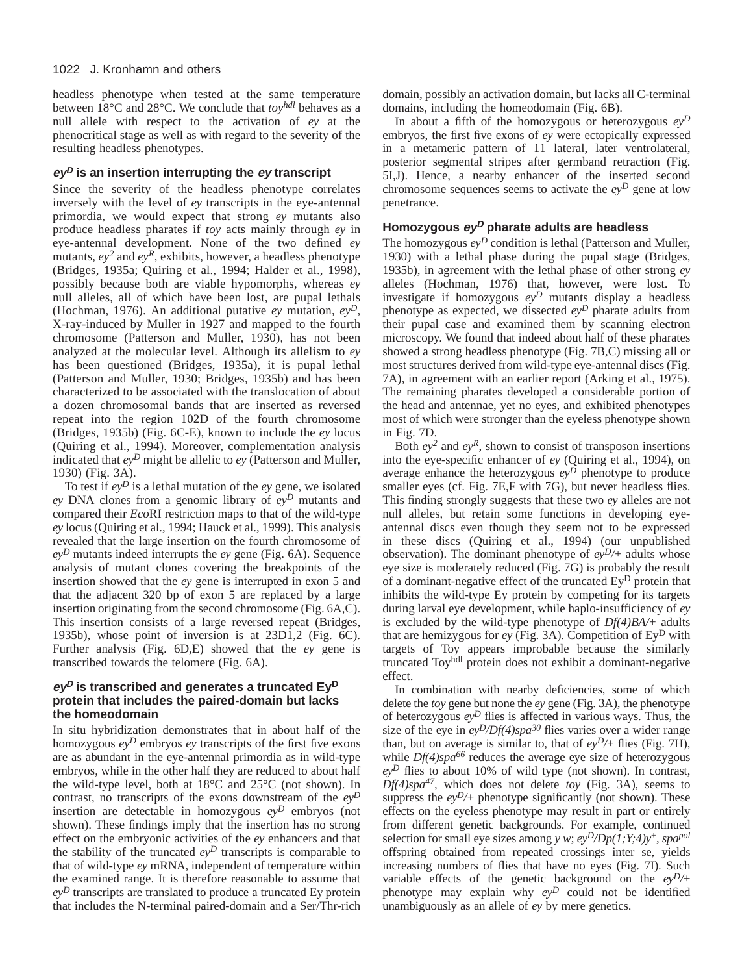headless phenotype when tested at the same temperature between 18°C and 28°C. We conclude that *toyhdl* behaves as a null allele with respect to the activation of *ey* at the phenocritical stage as well as with regard to the severity of the resulting headless phenotypes.

# **ey<sup>D</sup> is an insertion interrupting the ey transcript**

Since the severity of the headless phenotype correlates inversely with the level of *ey* transcripts in the eye-antennal primordia, we would expect that strong *ey* mutants also produce headless pharates if *toy* acts mainly through *ey* in eye-antennal development. None of the two defined *ey* mutants,  $ey^2$  and  $ey^R$ , exhibits, however, a headless phenotype (Bridges, 1935a; Quiring et al., 1994; Halder et al., 1998), possibly because both are viable hypomorphs, whereas *ey* null alleles, all of which have been lost, are pupal lethals (Hochman, 1976). An additional putative *ey* mutation, *eyD*, X-ray-induced by Muller in 1927 and mapped to the fourth chromosome (Patterson and Muller, 1930), has not been analyzed at the molecular level. Although its allelism to *ey* has been questioned (Bridges, 1935a), it is pupal lethal (Patterson and Muller, 1930; Bridges, 1935b) and has been characterized to be associated with the translocation of about a dozen chromosomal bands that are inserted as reversed repeat into the region 102D of the fourth chromosome (Bridges, 1935b) (Fig. 6C-E), known to include the *ey* locus (Quiring et al., 1994). Moreover, complementation analysis indicated that *ey<sup>D</sup>* might be allelic to *ey* (Patterson and Muller, 1930) (Fig. 3A).

To test if *eyD* is a lethal mutation of the *ey* gene, we isolated *ey* DNA clones from a genomic library of *eyD* mutants and compared their *Eco*RI restriction maps to that of the wild-type *ey* locus (Quiring et al., 1994; Hauck et al., 1999). This analysis revealed that the large insertion on the fourth chromosome of *eyD* mutants indeed interrupts the *ey* gene (Fig. 6A). Sequence analysis of mutant clones covering the breakpoints of the insertion showed that the *ey* gene is interrupted in exon 5 and that the adjacent 320 bp of exon 5 are replaced by a large insertion originating from the second chromosome (Fig. 6A,C). This insertion consists of a large reversed repeat (Bridges, 1935b), whose point of inversion is at 23D1,2 (Fig. 6C). Further analysis (Fig. 6D,E) showed that the *ey* gene is transcribed towards the telomere (Fig. 6A).

# **ey<sup>D</sup> is transcribed and generates a truncated EyD protein that includes the paired-domain but lacks the homeodomain**

In situ hybridization demonstrates that in about half of the homozygous  $e_y^D$  embryos  $e_y$  transcripts of the first five exons are as abundant in the eye-antennal primordia as in wild-type embryos, while in the other half they are reduced to about half the wild-type level, both at 18°C and 25°C (not shown). In contrast, no transcripts of the exons downstream of the *eyD* insertion are detectable in homozygous *eyD* embryos (not shown). These findings imply that the insertion has no strong effect on the embryonic activities of the *ey* enhancers and that the stability of the truncated  $ey<sup>D</sup>$  transcripts is comparable to that of wild-type *ey* mRNA, independent of temperature within the examined range. It is therefore reasonable to assume that  $e<sup>y</sup>$  transcripts are translated to produce a truncated Ey protein that includes the N-terminal paired-domain and a Ser/Thr-rich domain, possibly an activation domain, but lacks all C-terminal domains, including the homeodomain (Fig. 6B).

In about a fifth of the homozygous or heterozygous *eyD* embryos, the first five exons of *ey* were ectopically expressed in a metameric pattern of 11 lateral, later ventrolateral, posterior segmental stripes after germband retraction (Fig. 5I,J). Hence, a nearby enhancer of the inserted second chromosome sequences seems to activate the  $e_y^D$  gene at low penetrance.

# **Homozygous ey<sup>D</sup> pharate adults are headless**

The homozygous  $e_y^D$  condition is lethal (Patterson and Muller, 1930) with a lethal phase during the pupal stage (Bridges, 1935b), in agreement with the lethal phase of other strong *ey* alleles (Hochman, 1976) that, however, were lost. To investigate if homozygous *eyD* mutants display a headless phenotype as expected, we dissected *eyD* pharate adults from their pupal case and examined them by scanning electron microscopy. We found that indeed about half of these pharates showed a strong headless phenotype (Fig. 7B,C) missing all or most structures derived from wild-type eye-antennal discs (Fig. 7A), in agreement with an earlier report (Arking et al., 1975). The remaining pharates developed a considerable portion of the head and antennae, yet no eyes, and exhibited phenotypes most of which were stronger than the eyeless phenotype shown in Fig. 7D.

Both  $ey<sup>2</sup>$  and  $ey<sup>R</sup>$ , shown to consist of transposon insertions into the eye-specific enhancer of *ey* (Quiring et al., 1994), on average enhance the heterozygous  $e^{yD}$  phenotype to produce smaller eyes (cf. Fig. 7E,F with 7G), but never headless flies. This finding strongly suggests that these two *ey* alleles are not null alleles, but retain some functions in developing eyeantennal discs even though they seem not to be expressed in these discs (Quiring et al., 1994) (our unpublished observation). The dominant phenotype of  $e^{y}$ /+ adults whose eye size is moderately reduced (Fig. 7G) is probably the result of a dominant-negative effect of the truncated EyD protein that inhibits the wild-type Ey protein by competing for its targets during larval eye development, while haplo-insufficiency of *ey* is excluded by the wild-type phenotype of *Df(4)BA/*+ adults that are hemizygous for  $e_y$  (Fig. 3A). Competition of  $Ey^D$  with targets of Toy appears improbable because the similarly truncated Toyhdl protein does not exhibit a dominant-negative effect.

In combination with nearby deficiencies, some of which delete the *toy* gene but none the *ey* gene (Fig. 3A), the phenotype of heterozygous *eyD* flies is affected in various ways. Thus, the size of the eye in  $e_y^D/Df(4)$ spa<sup>30</sup> flies varies over a wider range than, but on average is similar to, that of  $e y^{D}/+$  flies (Fig. 7H), while *Df(4)spa<sup>66</sup>* reduces the average eye size of heterozygous *eyD* flies to about 10% of wild type (not shown). In contrast, *Df(4)spa47,* which does not delete *toy* (Fig. 3A), seems to suppress the  $e\gamma^{D}/+$  phenotype significantly (not shown). These effects on the eyeless phenotype may result in part or entirely from different genetic backgrounds. For example, continued selection for small eye sizes among *y w*;  $e\gamma^D/Dp(1;Y;4)y^+$ , *spa<sup>pol</sup>* offspring obtained from repeated crossings inter se, yields increasing numbers of flies that have no eyes (Fig. 7I). Such variable effects of the genetic background on the *eyD/*+ phenotype may explain why  $e y^D$  could not be identified unambiguously as an allele of *ey* by mere genetics.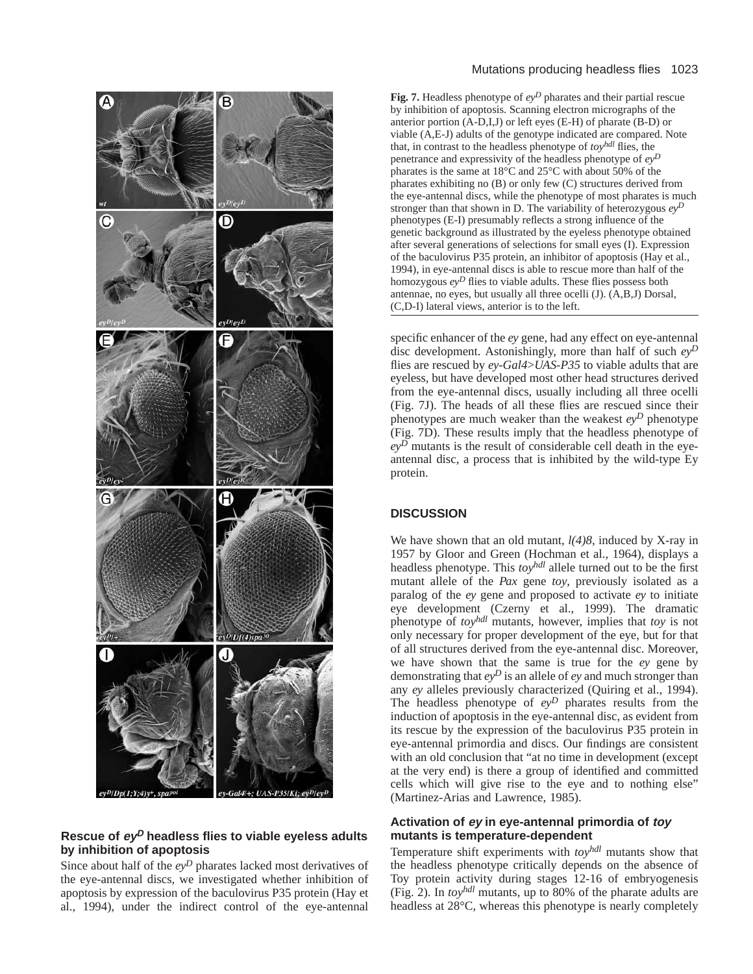

# **Rescue of ey<sup>D</sup> headless flies to viable eyeless adults by inhibition of apoptosis**

Since about half of the  $ey^D$  pharates lacked most derivatives of the eye-antennal discs, we investigated whether inhibition of apoptosis by expression of the baculovirus P35 protein (Hay et al., 1994), under the indirect control of the eye-antennal

# Mutations producing headless flies 1023

**Fig. 7.** Headless phenotype of  $e_y$ <sup>D</sup> pharates and their partial rescue by inhibition of apoptosis. Scanning electron micrographs of the anterior portion (A-D,I,J) or left eyes (E-H) of pharate (B-D) or viable (A,E-J) adults of the genotype indicated are compared. Note that, in contrast to the headless phenotype of *toyhdl* flies, the penetrance and expressivity of the headless phenotype of *eyD* pharates is the same at 18°C and 25°C with about 50% of the pharates exhibiting no (B) or only few (C) structures derived from the eye-antennal discs, while the phenotype of most pharates is much stronger than that shown in D. The variability of heterozygous *eyD* phenotypes (E-I) presumably reflects a strong influence of the genetic background as illustrated by the eyeless phenotype obtained after several generations of selections for small eyes (I). Expression of the baculovirus P35 protein, an inhibitor of apoptosis (Hay et al., 1994), in eye-antennal discs is able to rescue more than half of the homozygous  $e_y^D$  flies to viable adults. These flies possess both antennae, no eyes, but usually all three ocelli (J). (A,B,J) Dorsal, (C,D-I) lateral views, anterior is to the left.

specific enhancer of the *ey* gene, had any effect on eye-antennal disc development. Astonishingly, more than half of such *eyD* flies are rescued by *ey-Gal4*>*UAS-P35* to viable adults that are eyeless, but have developed most other head structures derived from the eye-antennal discs, usually including all three ocelli (Fig. 7J). The heads of all these flies are rescued since their phenotypes are much weaker than the weakest  $e<sup>D</sup>$  phenotype (Fig. 7D). These results imply that the headless phenotype of *eyD* mutants is the result of considerable cell death in the eyeantennal disc, a process that is inhibited by the wild-type Ey protein.

# **DISCUSSION**

We have shown that an old mutant, *l(4)8*, induced by X-ray in 1957 by Gloor and Green (Hochman et al., 1964), displays a headless phenotype. This *toyhdl* allele turned out to be the first mutant allele of the *Pax* gene *toy*, previously isolated as a paralog of the *ey* gene and proposed to activate *ey* to initiate eye development (Czerny et al., 1999). The dramatic phenotype of *toyhdl* mutants, however, implies that *toy* is not only necessary for proper development of the eye, but for that of all structures derived from the eye-antennal disc. Moreover, we have shown that the same is true for the *ey* gene by demonstrating that *eyD* is an allele of *ey* and much stronger than any *ey* alleles previously characterized (Quiring et al., 1994). The headless phenotype of *eyD* pharates results from the induction of apoptosis in the eye-antennal disc, as evident from its rescue by the expression of the baculovirus P35 protein in eye-antennal primordia and discs. Our findings are consistent with an old conclusion that "at no time in development (except at the very end) is there a group of identified and committed cells which will give rise to the eye and to nothing else" (Martinez-Arias and Lawrence, 1985).

# **Activation of ey in eye-antennal primordia of toy mutants is temperature-dependent**

Temperature shift experiments with *toyhdl* mutants show that the headless phenotype critically depends on the absence of Toy protein activity during stages 12-16 of embryogenesis (Fig. 2). In *toyhdl* mutants, up to 80% of the pharate adults are headless at 28°C, whereas this phenotype is nearly completely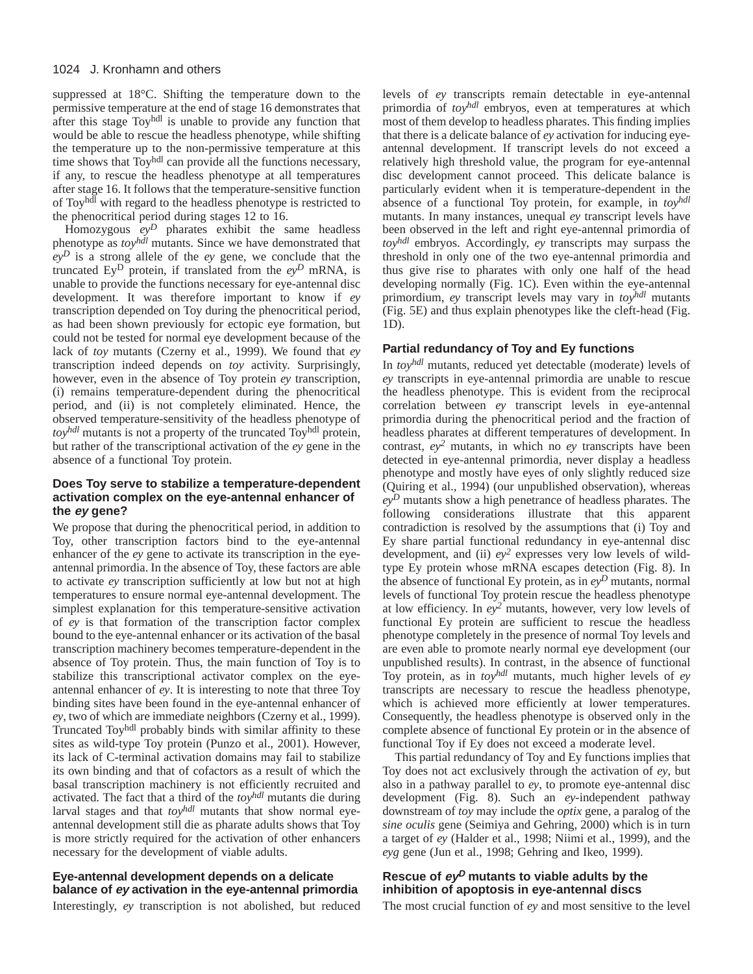suppressed at 18°C. Shifting the temperature down to the permissive temperature at the end of stage 16 demonstrates that after this stage Toyhdl is unable to provide any function that would be able to rescue the headless phenotype, while shifting the temperature up to the non-permissive temperature at this time shows that Toyh<sup>dl</sup> can provide all the functions necessary, if any, to rescue the headless phenotype at all temperatures after stage 16. It follows that the temperature-sensitive function of Toyhdl with regard to the headless phenotype is restricted to the phenocritical period during stages 12 to 16.

Homozygous  $ey^D$  pharates exhibit the same headless phenotype as *toyhdl* mutants. Since we have demonstrated that *eyD* is a strong allele of the *ey* gene, we conclude that the truncated Ey<sup>D</sup> protein, if translated from the *eyD* mRNA, is unable to provide the functions necessary for eye-antennal disc development. It was therefore important to know if *ey* transcription depended on Toy during the phenocritical period, as had been shown previously for ectopic eye formation, but could not be tested for normal eye development because of the lack of *toy* mutants (Czerny et al., 1999). We found that *ey* transcription indeed depends on *toy* activity. Surprisingly, however, even in the absence of Toy protein *ey* transcription, (i) remains temperature-dependent during the phenocritical period, and (ii) is not completely eliminated. Hence, the observed temperature-sensitivity of the headless phenotype of *toyhdl* mutants is not a property of the truncated Toyhdl protein, but rather of the transcriptional activation of the *ey* gene in the absence of a functional Toy protein.

# **Does Toy serve to stabilize a temperature-dependent activation complex on the eye-antennal enhancer of the ey gene?**

We propose that during the phenocritical period, in addition to Toy, other transcription factors bind to the eye-antennal enhancer of the *ey* gene to activate its transcription in the eyeantennal primordia. In the absence of Toy, these factors are able to activate *ey* transcription sufficiently at low but not at high temperatures to ensure normal eye-antennal development. The simplest explanation for this temperature-sensitive activation of *ey* is that formation of the transcription factor complex bound to the eye-antennal enhancer or its activation of the basal transcription machinery becomes temperature-dependent in the absence of Toy protein. Thus, the main function of Toy is to stabilize this transcriptional activator complex on the eyeantennal enhancer of *ey*. It is interesting to note that three Toy binding sites have been found in the eye-antennal enhancer of *ey*, two of which are immediate neighbors (Czerny et al., 1999). Truncated Toyhdl probably binds with similar affinity to these sites as wild-type Toy protein (Punzo et al., 2001). However, its lack of C-terminal activation domains may fail to stabilize its own binding and that of cofactors as a result of which the basal transcription machinery is not efficiently recruited and activated. The fact that a third of the *toyhdl* mutants die during larval stages and that  $toy^{hdl}$  mutants that show normal eyeantennal development still die as pharate adults shows that Toy is more strictly required for the activation of other enhancers necessary for the development of viable adults.

# **Eye-antennal development depends on a delicate balance of ey activation in the eye-antennal primordia**

Interestingly, *ey* transcription is not abolished, but reduced

levels of *ey* transcripts remain detectable in eye-antennal primordia of *toyhdl* embryos, even at temperatures at which most of them develop to headless pharates. This finding implies that there is a delicate balance of *ey* activation for inducing eyeantennal development. If transcript levels do not exceed a relatively high threshold value, the program for eye-antennal disc development cannot proceed. This delicate balance is particularly evident when it is temperature-dependent in the absence of a functional Toy protein, for example, in *toyhdl* mutants. In many instances, unequal *ey* transcript levels have been observed in the left and right eye-antennal primordia of *toyhdl* embryos. Accordingly, *ey* transcripts may surpass the threshold in only one of the two eye-antennal primordia and thus give rise to pharates with only one half of the head developing normally (Fig. 1C). Even within the eye-antennal primordium, *ey* transcript levels may vary in *toyhdl* mutants (Fig. 5E) and thus explain phenotypes like the cleft-head (Fig. 1D).

# **Partial redundancy of Toy and Ey functions**

In *toyhdl* mutants, reduced yet detectable (moderate) levels of *ey* transcripts in eye-antennal primordia are unable to rescue the headless phenotype. This is evident from the reciprocal correlation between *ey* transcript levels in eye-antennal primordia during the phenocritical period and the fraction of headless pharates at different temperatures of development. In contrast, *ey2* mutants, in which no *ey* transcripts have been detected in eye-antennal primordia, never display a headless phenotype and mostly have eyes of only slightly reduced size (Quiring et al., 1994) (our unpublished observation), whereas *eyD* mutants show a high penetrance of headless pharates. The following considerations illustrate that this apparent contradiction is resolved by the assumptions that (i) Toy and Ey share partial functional redundancy in eye-antennal disc development, and (ii)  $ey^2$  expresses very low levels of wildtype Ey protein whose mRNA escapes detection (Fig. 8). In the absence of functional Ey protein, as in *eyD* mutants, normal levels of functional Toy protein rescue the headless phenotype at low efficiency. In *ey2* mutants, however, very low levels of functional Ey protein are sufficient to rescue the headless phenotype completely in the presence of normal Toy levels and are even able to promote nearly normal eye development (our unpublished results). In contrast, in the absence of functional Toy protein, as in *toyhdl* mutants, much higher levels of *ey* transcripts are necessary to rescue the headless phenotype, which is achieved more efficiently at lower temperatures. Consequently, the headless phenotype is observed only in the complete absence of functional Ey protein or in the absence of functional Toy if Ey does not exceed a moderate level.

This partial redundancy of Toy and Ey functions implies that Toy does not act exclusively through the activation of *ey*, but also in a pathway parallel to *ey*, to promote eye-antennal disc development (Fig. 8). Such an *ey*-independent pathway downstream of *toy* may include the *optix* gene, a paralog of the *sine oculis* gene (Seimiya and Gehring, 2000) which is in turn a target of *ey* (Halder et al., 1998; Niimi et al., 1999), and the *eyg* gene (Jun et al., 1998; Gehring and Ikeo, 1999).

# **Rescue of ey<sup>D</sup> mutants to viable adults by the inhibition of apoptosis in eye-antennal discs**

The most crucial function of *ey* and most sensitive to the level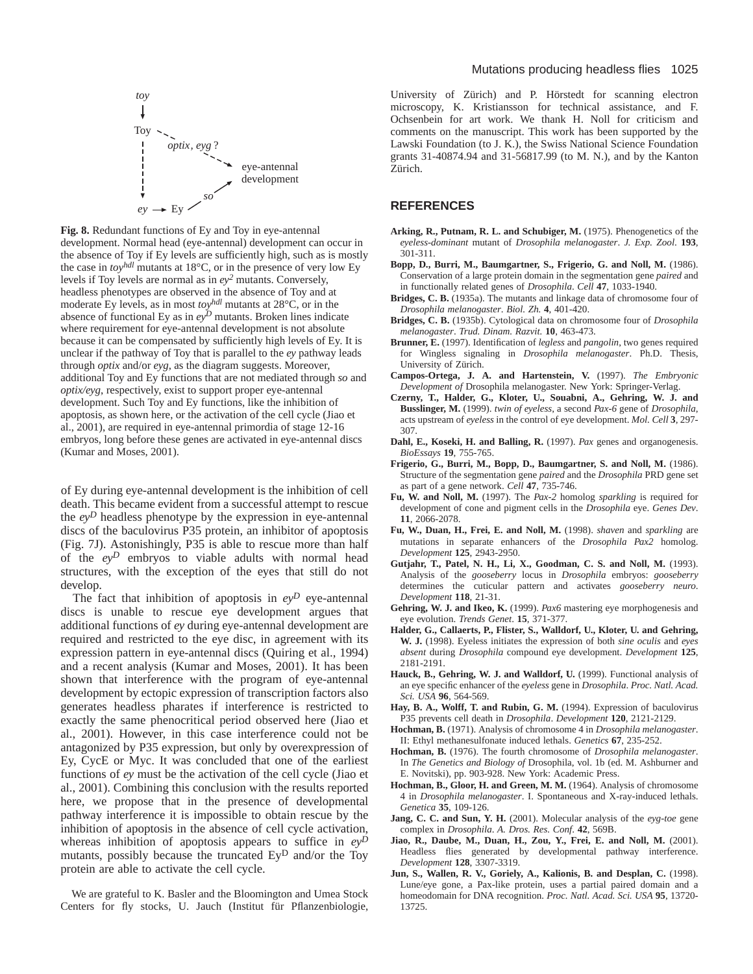

**Fig. 8.** Redundant functions of Ey and Toy in eye-antennal development. Normal head (eye-antennal) development can occur in the absence of Toy if Ey levels are sufficiently high, such as is mostly the case in *toyhdl* mutants at 18°C, or in the presence of very low Ey levels if Toy levels are normal as in *ey2* mutants. Conversely, headless phenotypes are observed in the absence of Toy and at moderate Ey levels, as in most *toyhdl* mutants at 28°C, or in the absence of functional Ey as in  $e^{yD}$  mutants. Broken lines indicate where requirement for eye-antennal development is not absolute because it can be compensated by sufficiently high levels of Ey. It is unclear if the pathway of Toy that is parallel to the *ey* pathway leads through *optix* and/or *eyg*, as the diagram suggests. Moreover, additional Toy and Ey functions that are not mediated through *so* and *optix/eyg*, respectively, exist to support proper eye-antennal development. Such Toy and Ey functions, like the inhibition of apoptosis, as shown here, or the activation of the cell cycle (Jiao et al., 2001), are required in eye-antennal primordia of stage 12-16 embryos, long before these genes are activated in eye-antennal discs (Kumar and Moses, 2001).

of Ey during eye-antennal development is the inhibition of cell death. This became evident from a successful attempt to rescue the *eyD* headless phenotype by the expression in eye-antennal discs of the baculovirus P35 protein, an inhibitor of apoptosis (Fig. 7J). Astonishingly, P35 is able to rescue more than half of the *eyD* embryos to viable adults with normal head structures, with the exception of the eyes that still do not develop.

The fact that inhibition of apoptosis in  $ey^D$  eye-antennal discs is unable to rescue eye development argues that additional functions of *ey* during eye-antennal development are required and restricted to the eye disc, in agreement with its expression pattern in eye-antennal discs (Quiring et al., 1994) and a recent analysis (Kumar and Moses, 2001). It has been shown that interference with the program of eye-antennal development by ectopic expression of transcription factors also generates headless pharates if interference is restricted to exactly the same phenocritical period observed here (Jiao et al., 2001). However, in this case interference could not be antagonized by P35 expression, but only by overexpression of Ey, CycE or Myc. It was concluded that one of the earliest functions of *ey* must be the activation of the cell cycle (Jiao et al., 2001). Combining this conclusion with the results reported here, we propose that in the presence of developmental pathway interference it is impossible to obtain rescue by the inhibition of apoptosis in the absence of cell cycle activation, whereas inhibition of apoptosis appears to suffice in *eyD* mutants, possibly because the truncated Ey<sup>D</sup> and/or the Toy protein are able to activate the cell cycle.

We are grateful to K. Basler and the Bloomington and Umea Stock Centers for fly stocks, U. Jauch (Institut für Pflanzenbiologie, University of Zürich) and P. Hörstedt for scanning electron microscopy, K. Kristiansson for technical assistance, and F. Ochsenbein for art work. We thank H. Noll for criticism and comments on the manuscript. This work has been supported by the Lawski Foundation (to J. K.), the Swiss National Science Foundation grants 31-40874.94 and 31-56817.99 (to M. N.), and by the Kanton Zürich.

#### **REFERENCES**

- **Arking, R., Putnam, R. L. and Schubiger, M.** (1975). Phenogenetics of the *eyeless-dominant* mutant of *Drosophila melanogaster*. *J. Exp. Zool*. **193**, 301-311.
- **Bopp, D., Burri, M., Baumgartner, S., Frigerio, G. and Noll, M.** (1986). Conservation of a large protein domain in the segmentation gene *paired* and in functionally related genes of *Drosophila*. *Cell* **47**, 1033-1940.
- **Bridges, C. B.** (1935a). The mutants and linkage data of chromosome four of *Drosophila melanogaster*. *Biol. Zh.* **4**, 401-420.
- **Bridges, C. B.** (1935b). Cytological data on chromosome four of *Drosophila melanogaster*. *Trud. Dinam. Razvit.* **10**, 463-473.
- **Brunner, E.** (1997). Identification of *legless* and *pangolin*, two genes required for Wingless signaling in *Drosophila melanogaster*. Ph.D. Thesis, University of Zürich.
- **Campos-Ortega, J. A. and Hartenstein, V.** (1997). *The Embryonic Development of* Drosophila melanogaster. New York: Springer-Verlag.
- **Czerny, T., Halder, G., Kloter, U., Souabni, A., Gehring, W. J. and Busslinger, M.** (1999). *twin of eyeless*, a second *Pax-6* gene of *Drosophila*, acts upstream of *eyeless* in the control of eye development. *Mol. Cell* **3**, 297- 307.
- **Dahl, E., Koseki, H. and Balling, R.** (1997). *Pax* genes and organogenesis. *BioEssays* **19**, 755-765.
- **Frigerio, G., Burri, M., Bopp, D., Baumgartner, S. and Noll, M.** (1986). Structure of the segmentation gene *paired* and the *Drosophila* PRD gene set as part of a gene network. *Cell* **47**, 735-746.
- **Fu, W. and Noll, M.** (1997). The *Pax-2* homolog *sparkling* is required for development of cone and pigment cells in the *Drosophila* eye. *Genes Dev*. **11**, 2066-2078.
- **Fu, W., Duan, H., Frei, E. and Noll, M.** (1998). *shaven* and *sparkling* are mutations in separate enhancers of the *Drosophila Pax2* homolog. *Development* **125**, 2943-2950.
- **Gutjahr, T., Patel, N. H., Li, X., Goodman, C. S. and Noll, M.** (1993). Analysis of the *gooseberry* locus in *Drosophila* embryos: *gooseberry* determines the cuticular pattern and activates *gooseberry neuro*. *Development* **118**, 21-31.
- **Gehring, W. J. and Ikeo, K.** (1999). *Pax6* mastering eye morphogenesis and eye evolution. *Trends Genet*. **15**, 371-377.
- **Halder, G., Callaerts, P., Flister, S., Walldorf, U., Kloter, U. and Gehring, W. J.** (1998). Eyeless initiates the expression of both *sine oculis* and *eyes absent* during *Drosophila* compound eye development. *Development* **125**, 2181-2191.
- **Hauck, B., Gehring, W. J. and Walldorf, U.** (1999). Functional analysis of an eye specific enhancer of the *eyeless* gene in *Drosophila*. *Proc. Natl. Acad. Sci. USA* **96**, 564-569.
- **Hay, B. A., Wolff, T. and Rubin, G. M.** (1994). Expression of baculovirus P35 prevents cell death in *Drosophila*. *Development* **120**, 2121-2129.
- **Hochman, B.** (1971). Analysis of chromosome 4 in *Drosophila melanogaster*. II: Ethyl methanesulfonate induced lethals. *Genetics* **67**, 235-252.
- **Hochman, B.** (1976). The fourth chromosome of *Drosophila melanogaster*. In *The Genetics and Biology of* Drosophila, vol. 1b (ed. M. Ashburner and E. Novitski), pp. 903-928. New York: Academic Press.
- **Hochman, B., Gloor, H. and Green, M. M.** (1964). Analysis of chromosome 4 in *Drosophila melanogaster*. I. Spontaneous and X-ray-induced lethals. *Genetica* **35**, 109-126.
- **Jang, C. C. and Sun, Y. H.** (2001). Molecular analysis of the *eyg-toe* gene complex in *Drosophila*. *A. Dros. Res. Conf*. **42**, 569B.
- **Jiao, R., Daube, M., Duan, H., Zou, Y., Frei, E. and Noll, M.** (2001). Headless flies generated by developmental pathway interference. *Development* **128**, 3307-3319.
- **Jun, S., Wallen, R. V., Goriely, A., Kalionis, B. and Desplan, C.** (1998). Lune/eye gone, a Pax-like protein, uses a partial paired domain and a homeodomain for DNA recognition. *Proc. Natl. Acad. Sci. USA* **95**, 13720- 13725.